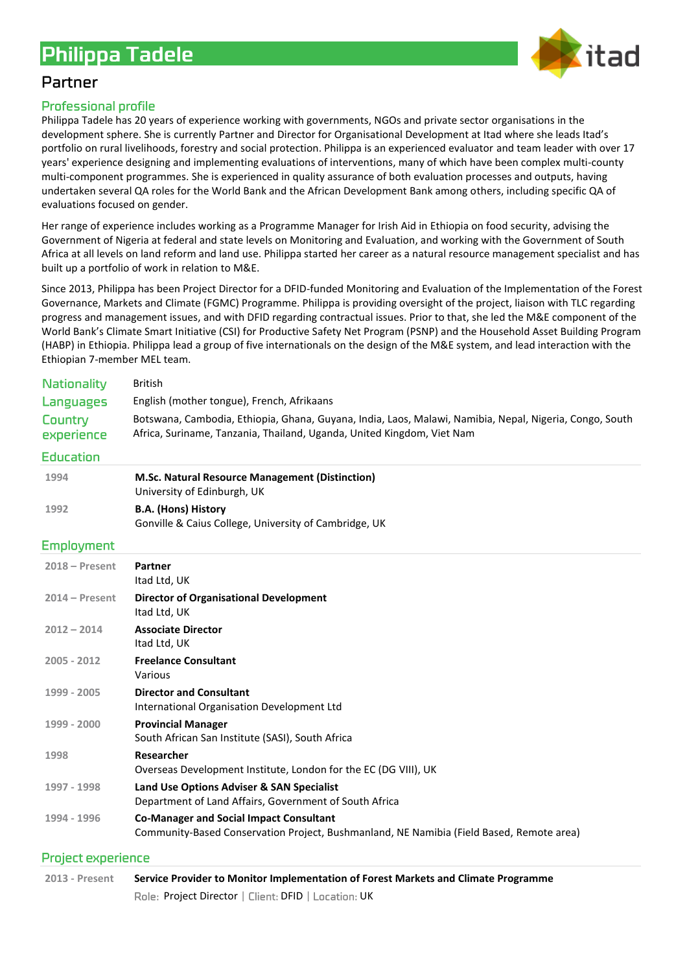

# Partner

# **Professional profile**

Philippa Tadele has 20 years of experience working with governments, NGOs and private sector organisations in the development sphere. She is currently Partner and Director for Organisational Development at Itad where she leads Itad's portfolio on rural livelihoods, forestry and social protection. Philippa is an experienced evaluator and team leader with over 17 years' experience designing and implementing evaluations of interventions, many of which have been complex multi-county multi-component programmes. She is experienced in quality assurance of both evaluation processes and outputs, having undertaken several QA roles for the World Bank and the African Development Bank among others, including specific QA of evaluations focused on gender.

Her range of experience includes working as a Programme Manager for Irish Aid in Ethiopia on food security, advising the Government of Nigeria at federal and state levels on Monitoring and Evaluation, and working with the Government of South Africa at all levels on land reform and land use. Philippa started her career as a natural resource management specialist and has built up a portfolio of work in relation to M&E.

Since 2013, Philippa has been Project Director for a DFID-funded Monitoring and Evaluation of the Implementation of the Forest Governance, Markets and Climate (FGMC) Programme. Philippa is providing oversight of the project, liaison with TLC regarding progress and management issues, and with DFID regarding contractual issues. Prior to that, she led the M&E component of the World Bank's Climate Smart Initiative (CSI) for Productive Safety Net Program (PSNP) and the Household Asset Building Program (HABP) in Ethiopia. Philippa lead a group of five internationals on the design of the M&E system, and lead interaction with the Ethiopian 7-member MEL team.

| <b>Nationality</b>    | <b>British</b>                                                                                                                                                                    |
|-----------------------|-----------------------------------------------------------------------------------------------------------------------------------------------------------------------------------|
| Languages             | English (mother tongue), French, Afrikaans                                                                                                                                        |
| Country<br>experience | Botswana, Cambodia, Ethiopia, Ghana, Guyana, India, Laos, Malawi, Namibia, Nepal, Nigeria, Congo, South<br>Africa, Suriname, Tanzania, Thailand, Uganda, United Kingdom, Viet Nam |
| <b>Education</b>      |                                                                                                                                                                                   |
| 1994                  | M.Sc. Natural Resource Management (Distinction)<br>University of Edinburgh, UK                                                                                                    |
| 1992                  | <b>B.A. (Hons) History</b><br>Gonville & Caius College, University of Cambridge, UK                                                                                               |
| <b>Employment</b>     |                                                                                                                                                                                   |
| $2018 -$ Present      | Partner<br>Itad Ltd, UK                                                                                                                                                           |
| $2014 - Present$      | <b>Director of Organisational Development</b><br>Itad Ltd, UK                                                                                                                     |
| $2012 - 2014$         | <b>Associate Director</b><br>Itad Ltd, UK                                                                                                                                         |
| 2005 - 2012           | <b>Freelance Consultant</b><br>Various                                                                                                                                            |
| 1999 - 2005           | <b>Director and Consultant</b><br>International Organisation Development Ltd                                                                                                      |
| 1999 - 2000           | <b>Provincial Manager</b><br>South African San Institute (SASI), South Africa                                                                                                     |
| 1998                  | Researcher<br>Overseas Development Institute, London for the EC (DG VIII), UK                                                                                                     |
| 1997 - 1998           | Land Use Options Adviser & SAN Specialist<br>Department of Land Affairs, Government of South Africa                                                                               |
| 1994 - 1996           | <b>Co-Manager and Social Impact Consultant</b><br>Community-Based Conservation Project, Bushmanland, NE Namibia (Field Based, Remote area)                                        |
|                       |                                                                                                                                                                                   |

# **Project experience**

**2013 - Present Service Provider to Monitor Implementation of Forest Markets and Climate Programme** Role: Project Director | Client: DFID | Location: UK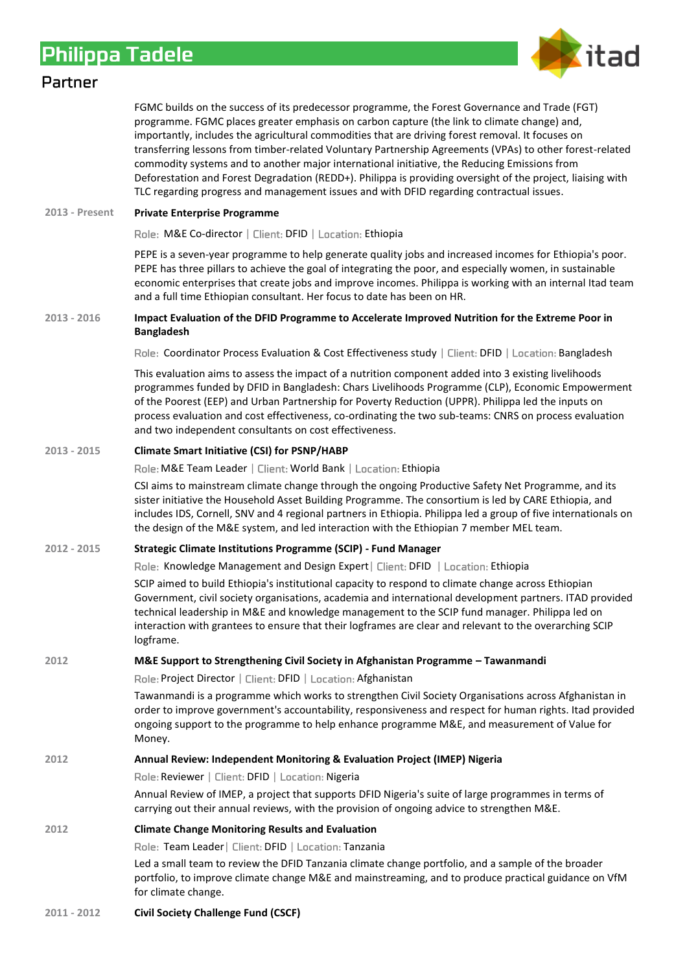

# Partner

FGMC builds on the success of its predecessor programme, the Forest Governance and Trade (FGT) programme. FGMC places greater emphasis on carbon capture (the link to climate change) and, importantly, includes the agricultural commodities that are driving forest removal. It focuses on transferring lessons from timber-related Voluntary Partnership Agreements (VPAs) to other forest-related commodity systems and to another major international initiative, the Reducing Emissions from Deforestation and Forest Degradation (REDD+). Philippa is providing oversight of the project, liaising with TLC regarding progress and management issues and with DFID regarding contractual issues.

### **2013 - Present Private Enterprise Programme**

Role: M&E Co-director | Client: DFID | Location: Ethiopia

PEPE is a seven-year programme to help generate quality jobs and increased incomes for Ethiopia's poor. PEPE has three pillars to achieve the goal of integrating the poor, and especially women, in sustainable economic enterprises that create jobs and improve incomes. Philippa is working with an internal Itad team and a full time Ethiopian consultant. Her focus to date has been on HR.

### **2013 - 2016 Impact Evaluation of the DFID Programme to Accelerate Improved Nutrition for the Extreme Poor in Bangladesh**

Role: Coordinator Process Evaluation & Cost Effectiveness study | Client: DFID | Location: Bangladesh

This evaluation aims to assess the impact of a nutrition component added into 3 existing livelihoods programmes funded by DFID in Bangladesh: Chars Livelihoods Programme (CLP), Economic Empowerment of the Poorest (EEP) and Urban Partnership for Poverty Reduction (UPPR). Philippa led the inputs on process evaluation and cost effectiveness, co-ordinating the two sub-teams: CNRS on process evaluation and two independent consultants on cost effectiveness.

### **2013 - 2015 Climate Smart Initiative (CSI) for PSNP/HABP**

Role: M&E Team Leader | Client: World Bank | Location: Ethiopia

CSI aims to mainstream climate change through the ongoing Productive Safety Net Programme, and its sister initiative the Household Asset Building Programme. The consortium is led by CARE Ethiopia, and includes IDS, Cornell, SNV and 4 regional partners in Ethiopia. Philippa led a group of five internationals on the design of the M&E system, and led interaction with the Ethiopian 7 member MEL team.

# **2012 - 2015 Strategic Climate Institutions Programme (SCIP) - Fund Manager**

Role: Knowledge Management and Design Expert | Client: DFID | Location: Ethiopia

SCIP aimed to build Ethiopia's institutional capacity to respond to climate change across Ethiopian Government, civil society organisations, academia and international development partners. ITAD provided technical leadership in M&E and knowledge management to the SCIP fund manager. Philippa led on interaction with grantees to ensure that their logframes are clear and relevant to the overarching SCIP logframe.

# **2012 M&E Support to Strengthening Civil Society in Afghanistan Programme – Tawanmandi**

Role: Project Director | Client: DFID | Location: Afghanistan

Tawanmandi is a programme which works to strengthen Civil Society Organisations across Afghanistan in order to improve government's accountability, responsiveness and respect for human rights. Itad provided ongoing support to the programme to help enhance programme M&E, and measurement of Value for Money.

# **2012 Annual Review: Independent Monitoring & Evaluation Project (IMEP) Nigeria**

Role: Reviewer | Client: DFID | Location: Nigeria

Annual Review of IMEP, a project that supports DFID Nigeria's suite of large programmes in terms of carrying out their annual reviews, with the provision of ongoing advice to strengthen M&E.

# **2012 Climate Change Monitoring Results and Evaluation**

Role: Team Leader | Client: DFID | Location: Tanzania

Led a small team to review the DFID Tanzania climate change portfolio, and a sample of the broader portfolio, to improve climate change M&E and mainstreaming, and to produce practical guidance on VfM for climate change.

### **2011 - 2012 Civil Society Challenge Fund (CSCF)**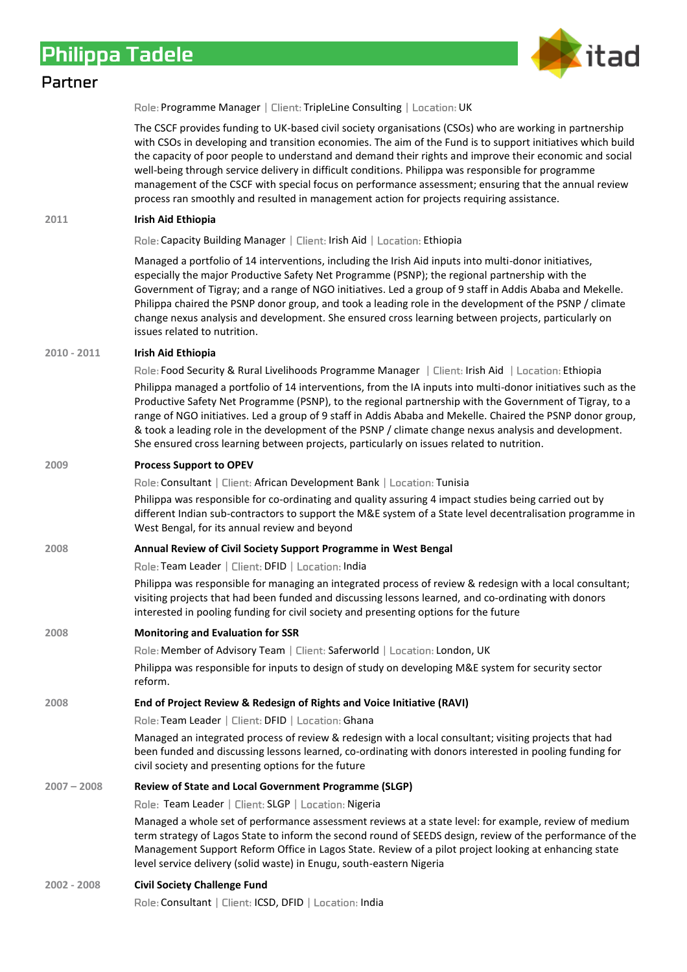

# Partner

Role: Programme Manager | Client: TripleLine Consulting | Location: UK

The CSCF provides funding to UK-based civil society organisations (CSOs) who are working in partnership with CSOs in developing and transition economies. The aim of the Fund is to support initiatives which build the capacity of poor people to understand and demand their rights and improve their economic and social well-being through service delivery in difficult conditions. Philippa was responsible for programme management of the CSCF with special focus on performance assessment; ensuring that the annual review process ran smoothly and resulted in management action for projects requiring assistance.

### **2011 Irish Aid Ethiopia**

Role: Capacity Building Manager | Client: Irish Aid | Location: Ethiopia

Managed a portfolio of 14 interventions, including the Irish Aid inputs into multi-donor initiatives, especially the major Productive Safety Net Programme (PSNP); the regional partnership with the Government of Tigray; and a range of NGO initiatives. Led a group of 9 staff in Addis Ababa and Mekelle. Philippa chaired the PSNP donor group, and took a leading role in the development of the PSNP / climate change nexus analysis and development. She ensured cross learning between projects, particularly on issues related to nutrition.

# **2010 - 2011 Irish Aid Ethiopia**

Role: Food Security & Rural Livelihoods Programme Manager | Client: Irish Aid | Location: Ethiopia

Philippa managed a portfolio of 14 interventions, from the IA inputs into multi-donor initiatives such as the Productive Safety Net Programme (PSNP), to the regional partnership with the Government of Tigray, to a range of NGO initiatives. Led a group of 9 staff in Addis Ababa and Mekelle. Chaired the PSNP donor group, & took a leading role in the development of the PSNP / climate change nexus analysis and development. She ensured cross learning between projects, particularly on issues related to nutrition.

### **2009 Process Support to OPEV**

Role: Consultant | Client: African Development Bank | Location: Tunisia

Philippa was responsible for co-ordinating and quality assuring 4 impact studies being carried out by different Indian sub-contractors to support the M&E system of a State level decentralisation programme in West Bengal, for its annual review and beyond

### **2008 Annual Review of Civil Society Support Programme in West Bengal**

Role: Team Leader | Client: DFID | Location: India

Philippa was responsible for managing an integrated process of review & redesign with a local consultant; visiting projects that had been funded and discussing lessons learned, and co-ordinating with donors interested in pooling funding for civil society and presenting options for the future

# **2008 Monitoring and Evaluation for SSR**

Role: Member of Advisory Team | Client: Saferworld | Location: London, UK

Philippa was responsible for inputs to design of study on developing M&E system for security sector reform.

# **2008 End of Project Review & Redesign of Rights and Voice Initiative (RAVI)**

Role: Team Leader | Client: DFID | Location: Ghana

Managed an integrated process of review & redesign with a local consultant; visiting projects that had been funded and discussing lessons learned, co-ordinating with donors interested in pooling funding for civil society and presenting options for the future

### **2007 – 2008 Review of State and Local Government Programme (SLGP)**

Role: Team Leader | Client: SLGP | Location: Nigeria

Managed a whole set of performance assessment reviews at a state level: for example, review of medium term strategy of Lagos State to inform the second round of SEEDS design, review of the performance of the Management Support Reform Office in Lagos State. Review of a pilot project looking at enhancing state level service delivery (solid waste) in Enugu, south-eastern Nigeria

**2002 - 2008 Civil Society Challenge Fund**

Role: Consultant | Client: ICSD, DFID | Location: India